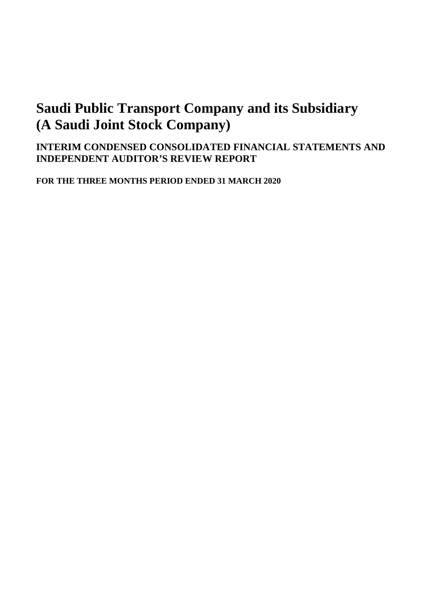# **INTERIM CONDENSED CONSOLIDATED FINANCIAL STATEMENTS AND INDEPENDENT AUDITOR'S REVIEW REPORT**

**FOR THE THREE MONTHS PERIOD ENDED 31 MARCH 2020**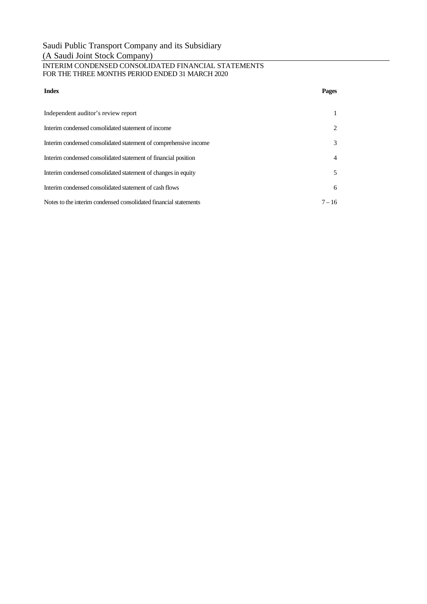#### INTERIM CONDENSED CONSOLIDATED FINANCIAL STATEMENTS FOR THE THREE MONTHS PERIOD ENDED 31 MARCH 2020

| <b>Index</b>                                                     | Pages          |
|------------------------------------------------------------------|----------------|
| Independent auditor's review report                              |                |
| Interim condensed consolidated statement of income               | $\overline{2}$ |
| Interim condensed consolidated statement of comprehensive income | 3              |
| Interim condensed consolidated statement of financial position   | $\overline{4}$ |
| Interim condensed consolidated statement of changes in equity    | 5              |
| Interim condensed consolidated statement of cash flows           | 6              |
| Notes to the interim condensed consolidated financial statements | $7 - 16$       |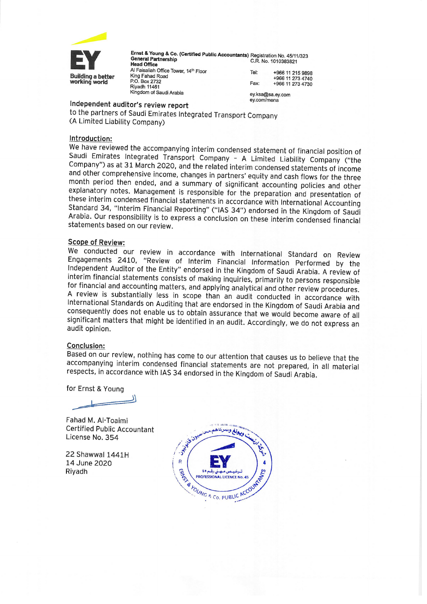

Ernst & Young & Co. (Certified Public Accountants) Registration No. 45/11/323 **General Partnership** C.R. No. 1010383821 **Head Office** Al Faisaliah Office Tower, 14th Floor Tel: +966 11 215 9898 King Fahad Road +966 11 273 4740 P.O. Box 2732 Fax: +966 11 273 4730 Riyadh 11461 Kingdom of Saudi Arabia ey.ksa@sa.ev.com

ev.com/mena

## Independent auditor's review report

to the partners of Saudi Emirates Integrated Transport Company (A Limited Liability Company)

#### Introduction:

We have reviewed the accompanying interim condensed statement of financial position of Saudi Emirates Integrated Transport Company - A Limited Liability Company ("the Company") as at 31 March 2020, and the related interim condensed statements of income and other comprehensive income, changes in partners' equity and cash flows for the three month period then ended, and a summary of significant accounting policies and other explanatory notes. Management is responsible for the preparation and presentation of these interim condensed financial statements in accordance with International Accounting Standard 34, "Interim Financial Reporting" ("IAS 34") endorsed in the Kingdom of Saudi Arabia. Our responsibility is to express a conclusion on these interim condensed financial statements based on our review.

#### **Scope of Review:**

We conducted our review in accordance with International Standard on Review Engagements 2410, "Review of Interim Financial Information Performed by the Independent Auditor of the Entity" endorsed in the Kingdom of Saudi Arabia. A review of interim financial statements consists of making inquiries, primarily to persons responsible for financial and accounting matters, and applying analytical and other review procedures. A review is substantially less in scope than an audit conducted in accordance with International Standards on Auditing that are endorsed in the Kingdom of Saudi Arabia and consequently does not enable us to obtain assurance that we would become aware of all significant matters that might be identified in an audit. Accordingly, we do not express an audit opinion.

#### Conclusion:

Based on our review, nothing has come to our attention that causes us to believe that the accompanying interim condensed financial statements are not prepared, in all material respects, in accordance with IAS 34 endorsed in the Kingdom of Saudi Arabia.

for Ernst & Young

Fahad M. Al-Toaimi **Certified Public Accountant** License No. 354

22 Shawwal 1441H 14 June 2020 Rivadh

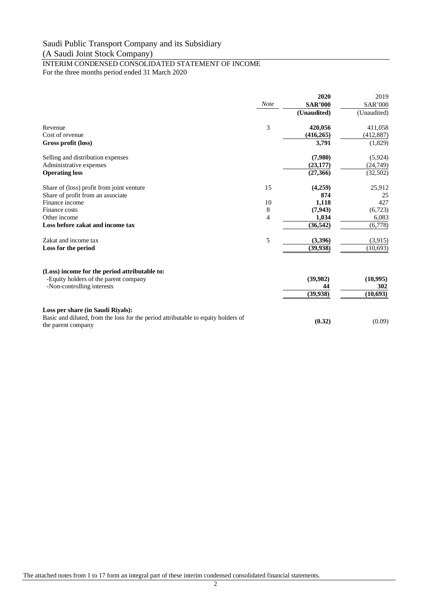#### INTERIM CONDENSED CONSOLIDATED STATEMENT OF INCOME For the three months period ended 31 March 2020

|                                                                                                         |      | 2020           | 2019           |
|---------------------------------------------------------------------------------------------------------|------|----------------|----------------|
|                                                                                                         | Note | <b>SAR'000</b> | <b>SAR'000</b> |
|                                                                                                         |      | (Unaudited)    | (Unaudited)    |
| Revenue                                                                                                 | 3    | 420,056        | 411,058        |
| Cost of revenue                                                                                         |      | (416, 265)     | (412,887)      |
| Gross profit (loss)                                                                                     |      | 3,791          | (1,829)        |
| Selling and distribution expenses                                                                       |      | (7,980)        | (5,924)        |
| Administrative expenses                                                                                 |      | (23, 177)      | (24,749)       |
| <b>Operating loss</b>                                                                                   |      | (27,366)       | (32,502)       |
| Share of (loss) profit from joint venture                                                               | 15   | (4,259)        | 25,912         |
| Share of profit from an associate                                                                       |      | 874            | 25             |
| Finance income                                                                                          | 10   | 1,118          | 427            |
| Finance costs                                                                                           | 8    | (7,943)        | (6,723)        |
| Other income                                                                                            | 4    | 1,034          | 6,083          |
| Loss before zakat and income tax                                                                        |      | (36, 542)      | (6,778)        |
| Zakat and income tax                                                                                    | 5    | (3,396)        | (3,915)        |
| Loss for the period                                                                                     |      | (39, 938)      | (10,693)       |
| (Loss) income for the period attributable to:                                                           |      |                |                |
| -Equity holders of the parent company                                                                   |      | (39,982)       | (10,995)       |
| -Non-controlling interests                                                                              |      | 44             | 302            |
|                                                                                                         |      | (39, 938)      | (10,693)       |
| Loss per share (in Saudi Riyals):                                                                       |      |                |                |
| Basic and diluted, from the loss for the period attributable to equity holders of<br>the parent company |      | (0.32)         | (0.09)         |

The attached notes from 1 to 17 form an integral part of these interim condensed consolidated financial statements.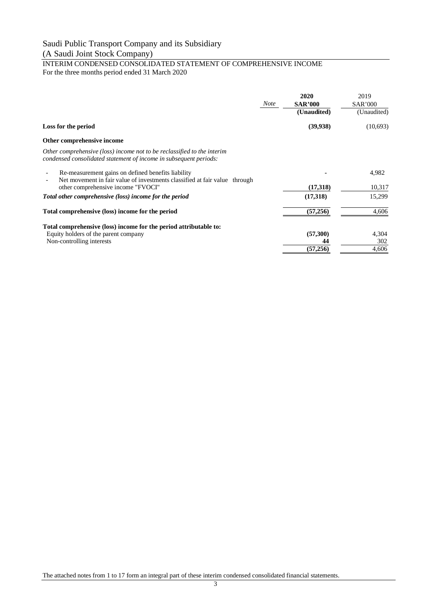#### INTERIM CONDENSED CONSOLIDATED STATEMENT OF COMPREHENSIVE INCOME For the three months period ended 31 March 2020

|                                                                                                                                              | <b>Note</b> | 2020<br><b>SAR'000</b><br>(Unaudited) | 2019<br><b>SAR'000</b><br>(Unaudited) |
|----------------------------------------------------------------------------------------------------------------------------------------------|-------------|---------------------------------------|---------------------------------------|
| Loss for the period                                                                                                                          |             | (39, 938)                             | (10,693)                              |
| Other comprehensive income                                                                                                                   |             |                                       |                                       |
| Other comprehensive (loss) income not to be reclassified to the interim<br>condensed consolidated statement of income in subsequent periods: |             |                                       |                                       |
| Re-measurement gains on defined benefits liability<br>Net movement in fair value of investments classified at fair value through             |             |                                       | 4,982                                 |
| other comprehensive income "FVOCI"                                                                                                           |             | (17,318)                              | 10,317                                |
| Total other comprehensive (loss) income for the period                                                                                       |             | (17,318)                              | 15,299                                |
| Total comprehensive (loss) income for the period                                                                                             |             | (57,256)                              | 4,606                                 |
| Total comprehensive (loss) income for the period attributable to:                                                                            |             |                                       |                                       |
| Equity holders of the parent company                                                                                                         |             | (57,300)                              | 4,304                                 |
| Non-controlling interests                                                                                                                    |             | 44                                    | 302                                   |
|                                                                                                                                              |             | (57,256)                              | 4,606                                 |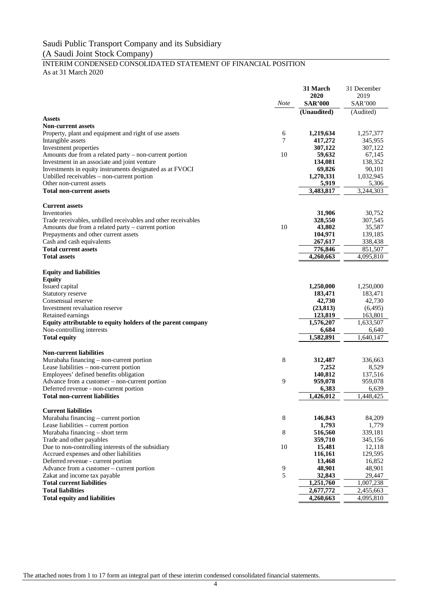#### INTERIM CONDENSED CONSOLIDATED STATEMENT OF FINANCIAL POSITION As at 31 March 2020

|                                                                                     |             | 31 March           | 31 December        |
|-------------------------------------------------------------------------------------|-------------|--------------------|--------------------|
|                                                                                     |             | 2020               | 2019               |
|                                                                                     | <b>Note</b> | <b>SAR'000</b>     | <b>SAR'000</b>     |
| <b>Assets</b>                                                                       |             | (Unaudited)        | (Audited)          |
| <b>Non-current assets</b>                                                           |             |                    |                    |
| Property, plant and equipment and right of use assets                               | 6           | 1,219,634          | 1,257,377          |
| Intangible assets                                                                   | 7           | 417,272            | 345,955            |
| Investment properties                                                               |             | 307,122            | 307,122            |
| Amounts due from a related party – non-current portion                              | 10          | 59,632             | 67,145             |
| Investment in an associate and joint venture                                        |             | 134,081            | 138,352            |
| Investments in equity instruments designated as at FVOCI                            |             | 69,826             | 90,101             |
| Unbilled receivables – non-current portion                                          |             | 1,270,331          | 1,032,945          |
| Other non-current assets<br><b>Total non-current assets</b>                         |             | 5,919<br>3,483,817 | 5,306<br>3,244,303 |
|                                                                                     |             |                    |                    |
| <b>Current assets</b>                                                               |             |                    |                    |
| Inventories                                                                         |             | 31,906             | 30,752             |
| Trade receivables, unbilled receivables and other receivables                       |             | 328,550            | 307,545            |
| Amounts due from a related party – current portion                                  | 10          | 43,802             | 35,587             |
| Prepayments and other current assets                                                |             | 104,971            | 139,185            |
| Cash and cash equivalents                                                           |             | 267,617            | 338,438            |
| <b>Total current assets</b>                                                         |             | 776,846            | 851,507            |
| <b>Total assets</b>                                                                 |             | 4,260,663          | 4,095,810          |
|                                                                                     |             |                    |                    |
| <b>Equity and liabilities</b>                                                       |             |                    |                    |
| <b>Equity</b><br>Issued capital                                                     |             | 1,250,000          | 1,250,000          |
| Statutory reserve                                                                   |             | 183.471            | 183,471            |
| Consensual reserve                                                                  |             | 42,730             | 42,730             |
| Investment revaluation reserve                                                      |             | (23, 813)          | (6, 495)           |
| Retained earnings                                                                   |             | 123,819            | 163,801            |
| Equity attributable to equity holders of the parent company                         |             | 1,576,207          | 1,633,507          |
| Non-controlling interests                                                           |             | 6,684              | 6,640              |
| <b>Total equity</b>                                                                 |             | 1,582,891          | 1,640,147          |
|                                                                                     |             |                    |                    |
| <b>Non-current liabilities</b>                                                      |             |                    |                    |
| Murabaha financing – non-current portion<br>Lease liabilities – non-current portion | 8           | 312,487<br>7,252   | 336,663<br>8,529   |
| Employees' defined benefits obligation                                              |             | 140,812            | 137,516            |
| Advance from a customer - non-current portion                                       | 9           | 959,078            | 959,078            |
| Deferred revenue - non-current portion                                              |             | 6,383              | 6,639              |
| <b>Total non-current liabilities</b>                                                |             | 1,426,012          | 1,448,425          |
|                                                                                     |             |                    |                    |
| <b>Current liabilities</b>                                                          |             |                    |                    |
| Murabaha financing – current portion                                                | 8           | 146,843            | 84,209             |
| Lease liabilities – current portion                                                 |             | 1,793              | 1,779              |
| Murabaha financing – short term<br>Trade and other payables                         | $\,8\,$     | 516,560<br>359,710 | 339,181<br>345,156 |
| Due to non-controlling interests of the subsidiary                                  | 10          | 15,481             | 12,118             |
| Accrued expenses and other liabilities                                              |             | 116,161            | 129,595            |
| Deferred revenue - current portion                                                  |             | 13,468             | 16,852             |
| Advance from a customer - current portion                                           | 9           | 48,901             | 48,901             |
| Zakat and income tax payable                                                        | 5           | 32,843             | 29,447             |
| <b>Total current liabilities</b>                                                    |             | 1,251,760          | 1,007,238          |
| <b>Total liabilities</b>                                                            |             | 2,677,772          | 2,455,663          |
| <b>Total equity and liabilities</b>                                                 |             | 4,260,663          | 4,095,810          |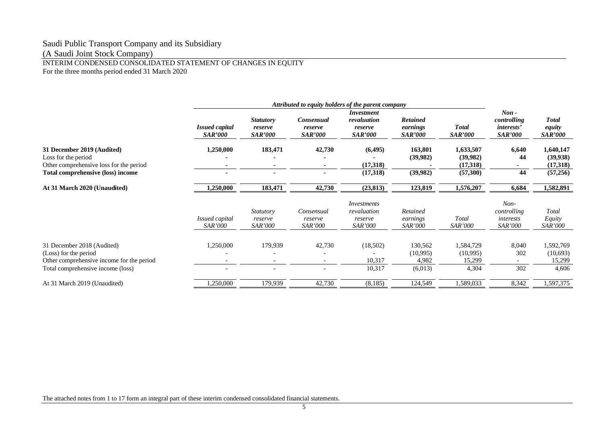# Saudi Public Transport Company and its Subsidiary

(A Saudi Joint Stock Company)

# INTERIM CONDENSED CONSOLIDATED STATEMENT OF CHANGES IN EQUITY

For the three months period ended 31 March 2020

| $Non -$<br><i>Investment</i><br><b>Retained</b><br>controlling<br><b>Statutory</b><br><b>Consensual</b><br>revaluation<br><b>Issued capital</b><br><b>Total</b><br><i>interests'</i><br>earnings<br>reserve<br>reserve<br>reserve<br><b>SAR'000</b><br><b>SAR'000</b><br><b>SAR'000</b><br><b>SAR'000</b><br><b>SAR'000</b><br><i>SAR'000</i><br><b>SAR'000</b><br>1,250,000<br>183,471<br>42,730<br>(6, 495)<br>163,801<br>1,633,507<br>6,640<br>31 December 2019 (Audited)<br>(39,982)<br>(39,982)<br>Loss for the period<br>44<br>Other comprehensive loss for the period<br>(17,318)<br>(17,318)<br>(39,982)<br>44<br>(17,318)<br>(57,300)<br>Total comprehensive (loss) income<br>$\blacksquare$<br>$\sim$<br>183,471<br>42,730<br>123,819<br>1,576,207<br>6,684<br>1,250,000<br>(23, 813)<br>At 31 March 2020 (Unaudited)<br>$Non-$<br>Investments<br>revaluation<br>Retained<br>controlling<br><b>Statutory</b><br>Consensual<br>Total<br><i>Issued capital</i><br>interests<br>earnings<br>reserve<br>reserve<br>reserve<br><b>SAR'000</b><br>SAR'000<br><b>SAR'000</b><br><b>SAR'000</b><br>SAR'000<br><i>SAR'000</i><br><i>SAR'000</i><br>42,730<br>1,250,000<br>179,939<br>(18,502)<br>130,562<br>1,584,729<br>8,040<br>31 December 2018 (Audited)<br>302<br>(Loss) for the period<br>(10,995)<br>(10,995)<br>10,317<br>Other comprehensive income for the period<br>4,982<br>15,299<br>302<br>10,317<br>(6,013)<br>4,304<br>Total comprehensive income (loss)<br>$\overline{a}$<br>$\overline{\phantom{0}}$<br>,250,000<br>42,730<br>(8,185)<br>124,549<br>1,589,033<br>8,342<br>At 31 March 2019 (Unaudited)<br>179,939 |  |  | Attributed to equity holders of the parent company |  |                                                 |
|--------------------------------------------------------------------------------------------------------------------------------------------------------------------------------------------------------------------------------------------------------------------------------------------------------------------------------------------------------------------------------------------------------------------------------------------------------------------------------------------------------------------------------------------------------------------------------------------------------------------------------------------------------------------------------------------------------------------------------------------------------------------------------------------------------------------------------------------------------------------------------------------------------------------------------------------------------------------------------------------------------------------------------------------------------------------------------------------------------------------------------------------------------------------------------------------------------------------------------------------------------------------------------------------------------------------------------------------------------------------------------------------------------------------------------------------------------------------------------------------------------------------------------------------------------------------------------------------------------------------------------------|--|--|----------------------------------------------------|--|-------------------------------------------------|
|                                                                                                                                                                                                                                                                                                                                                                                                                                                                                                                                                                                                                                                                                                                                                                                                                                                                                                                                                                                                                                                                                                                                                                                                                                                                                                                                                                                                                                                                                                                                                                                                                                      |  |  |                                                    |  | <b>Total</b><br>equity<br><i>SAR'000</i>        |
|                                                                                                                                                                                                                                                                                                                                                                                                                                                                                                                                                                                                                                                                                                                                                                                                                                                                                                                                                                                                                                                                                                                                                                                                                                                                                                                                                                                                                                                                                                                                                                                                                                      |  |  |                                                    |  | 1,640,147<br>(39, 938)<br>(17,318)<br>(57, 256) |
|                                                                                                                                                                                                                                                                                                                                                                                                                                                                                                                                                                                                                                                                                                                                                                                                                                                                                                                                                                                                                                                                                                                                                                                                                                                                                                                                                                                                                                                                                                                                                                                                                                      |  |  |                                                    |  | 1,582,891                                       |
|                                                                                                                                                                                                                                                                                                                                                                                                                                                                                                                                                                                                                                                                                                                                                                                                                                                                                                                                                                                                                                                                                                                                                                                                                                                                                                                                                                                                                                                                                                                                                                                                                                      |  |  |                                                    |  | Total<br>Equity<br><i>SAR'000</i>               |
|                                                                                                                                                                                                                                                                                                                                                                                                                                                                                                                                                                                                                                                                                                                                                                                                                                                                                                                                                                                                                                                                                                                                                                                                                                                                                                                                                                                                                                                                                                                                                                                                                                      |  |  |                                                    |  | 1,592,769<br>(10,693)<br>15,299<br>4,606        |
|                                                                                                                                                                                                                                                                                                                                                                                                                                                                                                                                                                                                                                                                                                                                                                                                                                                                                                                                                                                                                                                                                                                                                                                                                                                                                                                                                                                                                                                                                                                                                                                                                                      |  |  |                                                    |  | 1,597,375                                       |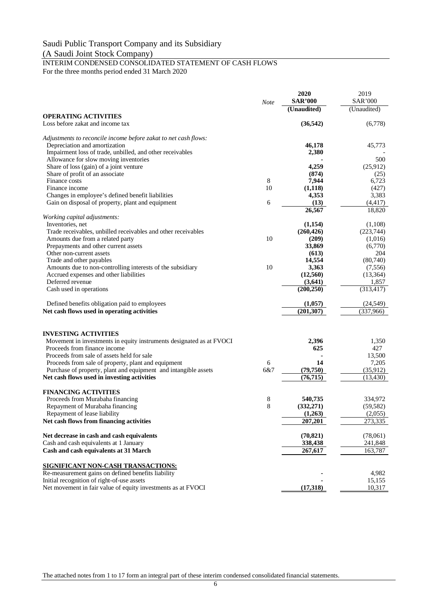# INTERIM CONDENSED CONSOLIDATED STATEMENT OF CASH FLOWS For the three months period ended 31 March 2020

|                                                                      | Note    | 2020<br><b>SAR'000</b> | 2019<br>SAR'000 |
|----------------------------------------------------------------------|---------|------------------------|-----------------|
|                                                                      |         | (Unaudited)            | (Unaudited)     |
| <b>OPERATING ACTIVITIES</b>                                          |         |                        |                 |
| Loss before zakat and income tax                                     |         | (36, 542)              | (6,778)         |
| Adjustments to reconcile income before zakat to net cash flows:      |         |                        |                 |
| Depreciation and amortization                                        |         | 46,178                 | 45,773          |
| Impairment loss of trade, unbilled, and other receivables            |         | 2,380                  |                 |
| Allowance for slow moving inventories                                |         |                        | 500             |
| Share of loss (gain) of a joint venture                              |         | 4,259                  | (25,912)        |
| Share of profit of an associate                                      |         | (874)                  | (25)            |
| Finance costs<br>Finance income                                      | 8<br>10 | 7,944                  | 6,723           |
| Changes in employee's defined benefit liabilities                    |         | (1,118)<br>4,353       | (427)<br>3,383  |
| Gain on disposal of property, plant and equipment                    | 6       | (13)                   | (4, 417)        |
|                                                                      |         | 26,567                 | 18,820          |
| Working capital adjustments:                                         |         |                        |                 |
| Inventories, net                                                     |         | (1,154)                | (1,108)         |
| Trade receivables, unbilled receivables and other receivables        |         | (260, 426)             | (223,744)       |
| Amounts due from a related party                                     | 10      | (209)                  | (1,016)         |
| Prepayments and other current assets                                 |         | 33,869                 | (6,770)         |
| Other non-current assets                                             |         | (613)                  | 204             |
| Trade and other payables                                             |         | 14,554                 | (80,740)        |
| Amounts due to non-controlling interests of the subsidiary           | 10      | 3,363                  | (7,556)         |
| Accrued expenses and other liabilities                               |         | (12, 560)              | (13, 364)       |
| Deferred revenue                                                     |         | (3,641)                | 1,857           |
| Cash used in operations                                              |         | (200, 250)             | (313, 417)      |
| Defined benefits obligation paid to employees                        |         | (1,057)                | (24, 549)       |
| Net cash flows used in operating activities                          |         | (201, 307)             | (337,966)       |
| <b>INVESTING ACTIVITIES</b>                                          |         |                        |                 |
| Movement in investments in equity instruments designated as at FVOCI |         | 2,396                  | 1,350           |
| Proceeds from finance income                                         |         | 625                    | 427             |
| Proceeds from sale of assets held for sale                           |         |                        | 13,500          |
| Proceeds from sale of property, plant and equipment                  | 6       | 14                     | 7,205           |
| Purchase of property, plant and equipment and intangible assets      | 6&7     | (79, 750)              | (35,912)        |
| Net cash flows used in investing activities                          |         | (76, 715)              | (13, 430)       |
|                                                                      |         |                        |                 |
| <b>FINANCING ACTIVITIES</b>                                          |         |                        |                 |
| Proceeds from Murabaha financing                                     | 8       | 540,735                | 334,972         |
| Repayment of Murabaha financing                                      | 8       | (332, 271)             | (59, 582)       |
| Repayment of lease liability                                         |         | (1,263)                | (2,055)         |
| Net cash flows from financing activities                             |         | 207.201                | 273,335         |
| Net decrease in cash and cash equivalents                            |         | (70, 821)              | (78,061)        |
| Cash and cash equivalents at 1 January                               |         | 338,438                | 241,848         |
| Cash and cash equivalents at 31 March                                |         | 267,617                | 163,787         |
| SIGNIFICANT NON-CASH TRANSACTIONS:                                   |         |                        |                 |
| Re-measurement gains on defined benefits liability                   |         |                        | 4,982           |
| Initial recognition of right-of-use assets                           |         |                        | 15,155          |
| Net movement in fair value of equity investments as at FVOCI         |         | (17,318)               | 10,317          |

The attached notes from 1 to 17 form an integral part of these interim condensed consolidated financial statements.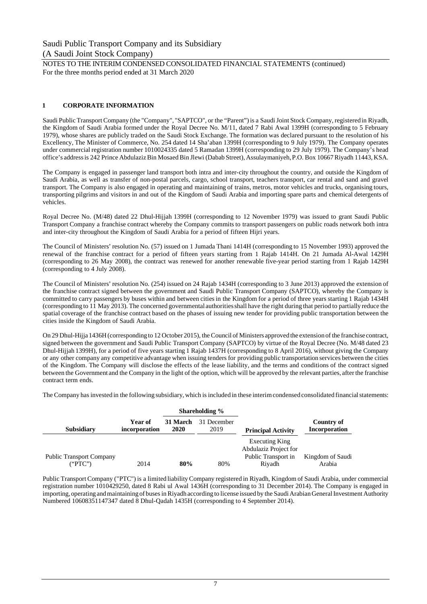NOTES TO THE INTERIM CONDENSED CONSOLIDATED FINANCIAL STATEMENTS (continued) For the three months period ended at 31 March 2020

#### **1 CORPORATE INFORMATION**

Saudi Public Transport Company (the "Company", "SAPTCO", or the "Parent") is a Saudi Joint Stock Company, registered in Riyadh, the Kingdom of Saudi Arabia formed under the Royal Decree No. M/11, dated 7 Rabi Awal 1399H (corresponding to 5 February 1979), whose shares are publicly traded on the Saudi Stock Exchange. The formation was declared pursuant to the resolution of his Excellency, The Minister of Commerce, No. 254 dated 14 Sha'aban 1399H (corresponding to 9 July 1979). The Company operates under commercial registration number 1010024335 dated 5 Ramadan 1399H (corresponding to 29 July 1979). The Company's head office's address is 242 Prince Abdulaziz Bin Mosaed Bin Jlewi (Dabab Street), Assulaymaniyeh, P.O. Box 10667 Riyadh 11443, KSA.

The Company is engaged in passenger land transport both intra and inter-city throughout the country, and outside the Kingdom of Saudi Arabia, as well as transfer of non-postal parcels, cargo, school transport, teachers transport, car rental and sand and gravel transport. The Company is also engaged in operating and maintaining of trains, metros, motor vehicles and trucks, organising tours, transporting pilgrims and visitors in and out of the Kingdom of Saudi Arabia and importing spare parts and chemical detergents of vehicles.

Royal Decree No. (M/48) dated 22 Dhul-Hijjah 1399H (corresponding to 12 November 1979) was issued to grant Saudi Public Transport Company a franchise contract whereby the Company commits to transport passengers on public roads network both intra and inter-city throughout the Kingdom of Saudi Arabia for a period of fifteen Hijri years.

The Council of Ministers' resolution No. (57) issued on 1 Jumada Thani 1414H (corresponding to 15 November 1993) approved the renewal of the franchise contract for a period of fifteen years starting from 1 Rajab 1414H. On 21 Jumada Al-Awal 1429H (corresponding to 26 May 2008), the contract was renewed for another renewable five-year period starting from 1 Rajab 1429H (corresponding to 4 July 2008).

The Council of Ministers' resolution No. (254) issued on 24 Rajab 1434H (corresponding to 3 June 2013) approved the extension of the franchise contract signed between the government and Saudi Public Transport Company (SAPTCO), whereby the Company is committed to carry passengers by buses within and between cities in the Kingdom for a period of three years starting 1 Rajab 1434H (corresponding to 11 May 2013). The concerned governmental authorities shall have the right during that period to partially reduce the spatial coverage of the franchise contract based on the phases of issuing new tender for providing public transportation between the cities inside the Kingdom of Saudi Arabia.

On 29 Dhul-Hijja 1436H (corresponding to 12 October 2015), the Council of Ministers approved the extension of the franchise contract, signed between the government and Saudi Public Transport Company (SAPTCO) by virtue of the Royal Decree (No. M/48 dated 23 Dhul-Hijjah 1399H), for a period of five years starting 1 Rajab 1437H (corresponding to 8 April 2016), without giving the Company or any other company any competitive advantage when issuing tenders for providing public transportation services between the cities of the Kingdom. The Company will disclose the effects of the lease liability, and the terms and conditions of the contract signed between the Government and the Company in the light of the option, which will be approved by the relevant parties, after the franchise contract term ends.

The Company has invested in the following subsidiary, which is included in these interim condensed consolidated financial statements:

|                                 |                          |                  | Shareholding %      |                                         |                                    |
|---------------------------------|--------------------------|------------------|---------------------|-----------------------------------------|------------------------------------|
| <b>Subsidiary</b>               | Year of<br>incorporation | 31 March<br>2020 | 31 December<br>2019 | <b>Principal Activity</b>               | Country of<br><b>Incorporation</b> |
|                                 |                          |                  |                     | Executing King<br>Abdulaziz Project for |                                    |
| <b>Public Transport Company</b> |                          |                  |                     | Public Transport in                     | Kingdom of Saudi                   |
| ("PTC")                         | 2014                     | 80%              | 80%                 | Rivadh                                  | Arabia                             |

Public Transport Company ("PTC") is a limited liability Company registered in Riyadh, Kingdom of Saudi Arabia, under commercial registration number 1010429250, dated 8 Rabi ul Awal 1436H (corresponding to 31 December 2014). The Company is engaged in importing, operating and maintaining of buses in Riyadh according to license issued by the Saudi Arabian General Investment Authority Numbered 10608351147347 dated 8 Dhul-Qadah 1435H (corresponding to 4 September 2014).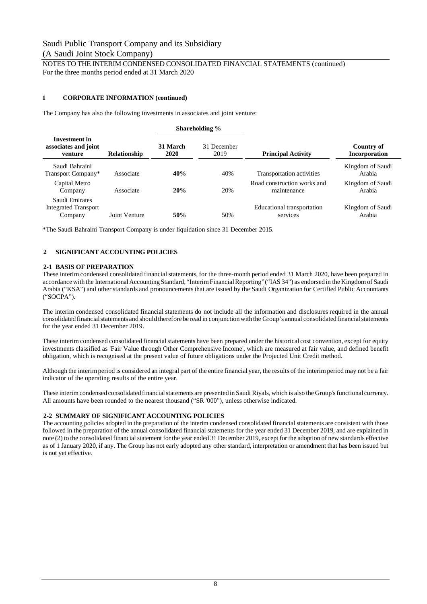#### NOTES TO THE INTERIM CONDENSED CONSOLIDATED FINANCIAL STATEMENTS (continued) For the three months period ended at 31 March 2020

#### **1 CORPORATE INFORMATION (continued)**

The Company has also the following investments in associates and joint venture:

|                                                          |                     |                  | Shareholding %      |                                            |                                    |
|----------------------------------------------------------|---------------------|------------------|---------------------|--------------------------------------------|------------------------------------|
| Investment in<br>associates and joint<br>venture         | <b>Relationship</b> | 31 March<br>2020 | 31 December<br>2019 | <b>Principal Activity</b>                  | Country of<br><b>Incorporation</b> |
| Saudi Bahraini<br>Transport Company*                     | Associate           | 40%              | 40%                 | Transportation activities                  | Kingdom of Saudi<br>Arabia         |
| Capital Metro<br>Company                                 | Associate           | 20%              | 20%                 | Road construction works and<br>maintenance | Kingdom of Saudi<br>Arabia         |
| Saudi Emirates<br><b>Integrated Transport</b><br>Company | Joint Venture       | 50%              | 50%                 | Educational transportation<br>services     | Kingdom of Saudi<br>Arabia         |

\*The Saudi Bahraini Transport Company is under liquidation since 31 December 2015.

#### **2 SIGNIFICANT ACCOUNTING POLICIES**

#### **2-1 BASIS OF PREPARATION**

These interim condensed consolidated financial statements, for the three-month period ended 31 March 2020, have been prepared in accordance with the International Accounting Standard, "Interim Financial Reporting" ("IAS 34") as endorsed in the Kingdom of Saudi Arabia ("KSA") and other standards and pronouncements that are issued by the Saudi Organization for Certified Public Accountants ("SOCPA").

The interim condensed consolidated financial statements do not include all the information and disclosures required in the annual consolidated financial statements and should therefore be read in conjunction with the Group's annual consolidated financial statements for the year ended 31 December 2019.

These interim condensed consolidated financial statements have been prepared under the historical cost convention, except for equity investments classified as 'Fair Value through Other Comprehensive Income', which are measured at fair value, and defined benefit obligation, which is recognised at the present value of future obligations under the Projected Unit Credit method.

Although the interim period is considered an integral part of the entire financial year, the results of the interim period may not be a fair indicator of the operating results of the entire year.

These interim condensed consolidated financial statements are presented in Saudi Riyals, which is also the Group's functional currency. All amounts have been rounded to the nearest thousand ("SR '000"), unless otherwise indicated.

#### **2-2 SUMMARY OF SIGNIFICANT ACCOUNTING POLICIES**

The accounting policies adopted in the preparation of the interim condensed consolidated financial statements are consistent with those followed in the preparation of the annual consolidated financial statements for the year ended 31 December 2019, and are explained in note (2) to the consolidated financial statement for the year ended 31 December 2019, except for the adoption of new standards effective as of 1 January 2020, if any. The Group has not early adopted any other standard, interpretation or amendment that has been issued but is not yet effective.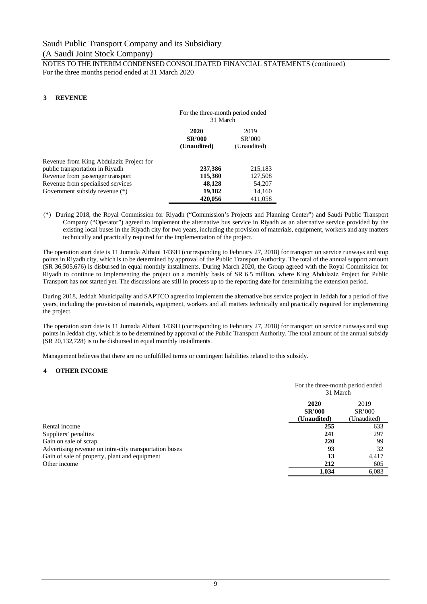NOTES TO THE INTERIM CONDENSED CONSOLIDATED FINANCIAL STATEMENTS (continued) For the three months period ended at 31 March 2020

#### **3 REVENUE**

|                                                                            | For the three-month period ended<br>31 March |                               |  |
|----------------------------------------------------------------------------|----------------------------------------------|-------------------------------|--|
|                                                                            | 2020<br><b>SR'000</b><br>(Unaudited)         | 2019<br>SR'000<br>(Unaudited) |  |
| Revenue from King Abdulaziz Project for<br>public transportation in Riyadh | 237,386                                      | 215,183                       |  |
| Revenue from passenger transport                                           | 115,360                                      | 127,508                       |  |
| Revenue from specialised services<br>Government subsidy revenue (*)        | 48,128<br>19,182                             | 54,207<br>14,160              |  |
|                                                                            | 420.056                                      | 411.058                       |  |

(\*) During 2018, the Royal Commission for Riyadh ("Commission's Projects and Planning Center") and Saudi Public Transport Company ("Operator") agreed to implement the alternative bus service in Riyadh as an alternative service provided by the existing local buses in the Riyadh city for two years, including the provision of materials, equipment, workers and any matters technically and practically required for the implementation of the project.

The operation start date is 11 Jumada Althani 1439H (corresponding to February 27, 2018) for transport on service runways and stop points in Riyadh city, which is to be determined by approval of the Public Transport Authority. The total of the annual support amount (SR 36,505,676) is disbursed in equal monthly installments. During March 2020, the Group agreed with the Royal Commission for Riyadh to continue to implementing the project on a monthly basis of SR 6.5 million, where King Abdulaziz Project for Public Transport has not started yet. The discussions are still in process up to the reporting date for determining the extension period.

During 2018, Jeddah Municipality and SAPTCO agreed to implement the alternative bus service project in Jeddah for a period of five years, including the provision of materials, equipment, workers and all matters technically and practically required for implementing the project.

The operation start date is 11 Jumada Althani 1439H (corresponding to February 27, 2018) for transport on service runways and stop points in Jeddah city, which is to be determined by approval of the Public Transport Authority. The total amount of the annual subsidy (SR 20,132,728) is to be disbursed in equal monthly installments.

Management believes that there are no unfulfilled terms or contingent liabilities related to this subsidy.

#### **4 OTHER INCOME**

|                                                        | For the three-month period ended<br>31 March |             |
|--------------------------------------------------------|----------------------------------------------|-------------|
|                                                        | 2020<br>2019                                 |             |
|                                                        | <b>SR'000</b>                                | SR'000      |
|                                                        | (Unaudited)                                  | (Unaudited) |
| Rental income                                          | 255                                          | 633         |
| Suppliers' penalties                                   | 241                                          | 297         |
| Gain on sale of scrap                                  | 220                                          | 99          |
| Advertising revenue on intra-city transportation buses | 93                                           | 32          |
| Gain of sale of property, plant and equipment          | 13                                           | 4.417       |
| Other income                                           | 212                                          | 605         |
|                                                        | 1,034                                        | 6,083       |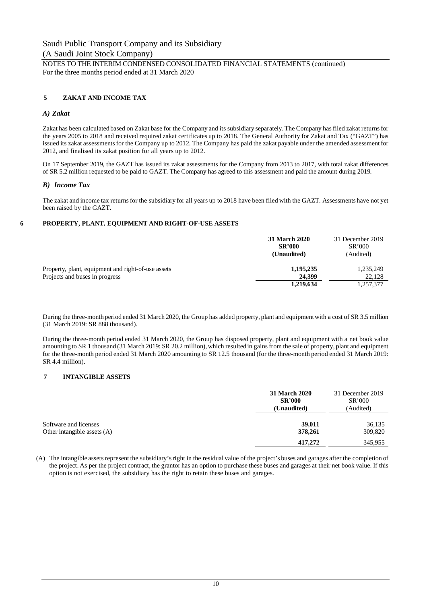#### **5 ZAKAT AND INCOME TAX**

#### *A) Zakat*

Zakat has been calculated based on Zakat base for the Company and its subsidiary separately. The Company has filed zakat returns for the years 2005 to 2018 and received required zakat certificates up to 2018. The General Authority for Zakat and Tax ("GAZT") has issued its zakat assessments for the Company up to 2012. The Company has paid the zakat payable under the amended assessment for 2012, and finalised its zakat position for all years up to 2012.

On 17 September 2019, the GAZT has issued its zakat assessments for the Company from 2013 to 2017, with total zakat differences of SR 5.2 million requested to be paid to GAZT. The Company has agreed to this assessment and paid the amount during 2019.

#### *B) Income Tax*

The zakat and income tax returns for the subsidiary for all years up to 2018 have been filed with the GAZT. Assessments have not yet been raised by the GAZT.

#### **6 PROPERTY, PLANT, EQUIPMENT AND RIGHT-OF-USE ASSETS**

|                                                                                      | <b>31 March 2020</b><br><b>SR'000</b><br><b>(Unaudited)</b> | 31 December 2019<br>SR'000<br>(Audited) |
|--------------------------------------------------------------------------------------|-------------------------------------------------------------|-----------------------------------------|
| Property, plant, equipment and right-of-use assets<br>Projects and buses in progress | 1,195,235<br>24.399                                         | 1,235,249<br>22,128                     |
|                                                                                      | 1,219,634                                                   | 1,257,377                               |

During the three-month period ended 31 March 2020, the Group has added property, plant and equipment with a cost of SR 3.5 million (31 March 2019: SR 888 thousand).

During the three-month period ended 31 March 2020, the Group has disposed property, plant and equipment with a net book value amounting to SR 1 thousand (31 March 2019: SR 20.2 million), which resulted in gains from the sale of property, plant and equipment for the three-month period ended 31 March 2020 amounting to SR 12.5 thousand (for the three-month period ended 31 March 2019: SR 4.4 million).

#### **7 INTANGIBLE ASSETS**

|                                                      | 31 March 2020<br><b>SR'000</b><br>(Unaudited) | 31 December 2019<br>SR'000<br>(Audited) |
|------------------------------------------------------|-----------------------------------------------|-----------------------------------------|
| Software and licenses<br>Other intangible assets (A) | 39,011<br>378,261                             | 36,135<br>309,820                       |
|                                                      | 417.272                                       | 345,955                                 |

(A) The intangible assets represent the subsidiary's right in the residual value of the project's buses and garages after the completion of the project. As per the project contract, the grantor has an option to purchase these buses and garages at their net book value. If this option is not exercised, the subsidiary has the right to retain these buses and garages.

NOTES TO THE INTERIM CONDENSED CONSOLIDATED FINANCIAL STATEMENTS (continued) For the three months period ended at 31 March 2020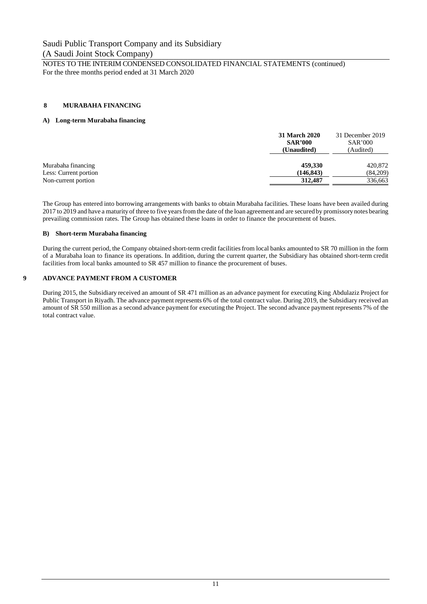NOTES TO THE INTERIM CONDENSED CONSOLIDATED FINANCIAL STATEMENTS (continued) For the three months period ended at 31 March 2020

#### **8 MURABAHA FINANCING**

#### **A) Long-term Murabaha financing**

| 31 March 2020<br><b>SAR'000</b><br>(Unaudited) | 31 December 2019<br>SAR'000<br>(Audited) |  |
|------------------------------------------------|------------------------------------------|--|
| 459,330                                        | 420,872                                  |  |
| (146, 843)                                     | (84,209)                                 |  |
| 312,487                                        | 336,663                                  |  |
|                                                |                                          |  |

The Group has entered into borrowing arrangements with banks to obtain Murabaha facilities. These loans have been availed during 2017 to 2019 and have a maturity of three to five years from the date of the loan agreement and are secured by promissory notes bearing prevailing commission rates. The Group has obtained these loans in order to finance the procurement of buses.

#### **B) Short-term Murabaha financing**

During the current period, the Company obtained short-term credit facilities from local banks amounted to SR 70 million in the form of a Murabaha loan to finance its operations. In addition, during the current quarter, the Subsidiary has obtained short-term credit facilities from local banks amounted to SR 457 million to finance the procurement of buses.

#### **9 ADVANCE PAYMENT FROM A CUSTOMER**

During 2015, the Subsidiary received an amount of SR 471 million as an advance payment for executing King Abdulaziz Project for Public Transport in Riyadh. The advance payment represents 6% of the total contract value. During 2019, the Subsidiary received an amount of SR 550 million as a second advance payment for executing the Project. The second advance payment represents 7% of the total contract value.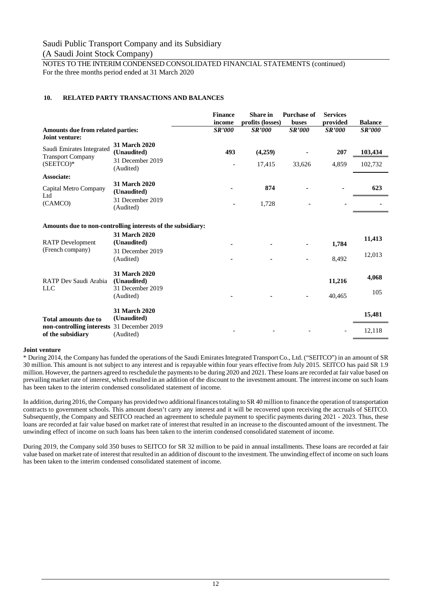NOTES TO THE INTERIM CONDENSED CONSOLIDATED FINANCIAL STATEMENTS (continued) For the three months period ended at 31 March 2020

#### **10. RELATED PARTY TRANSACTIONS AND BALANCES**

|                                                             |                               | <b>Finance</b><br>income | <b>Share</b> in<br>profits (losses) | <b>Purchase of</b><br>buses | <b>Services</b><br>provided | <b>Balance</b> |
|-------------------------------------------------------------|-------------------------------|--------------------------|-------------------------------------|-----------------------------|-----------------------------|----------------|
| Amounts due from related parties:                           |                               | <b>SR'000</b>            | <b>SR'000</b>                       | <b>SR'000</b>               | <b>SR'000</b>               | <b>SR'000</b>  |
| Joint venture:                                              |                               |                          |                                     |                             |                             |                |
| Saudi Emirates Integrated<br><b>Transport Company</b>       | 31 March 2020<br>(Unaudited)  | 493                      | (4,259)                             |                             | 207                         | 103,434        |
| $(SEETCO)*$                                                 | 31 December 2019<br>(Audited) |                          | 17,415                              | 33,626                      | 4,859                       | 102,732        |
| <b>Associate:</b>                                           |                               |                          |                                     |                             |                             |                |
| Capital Metro Company<br>Ltd                                | 31 March 2020<br>(Unaudited)  |                          | 874                                 |                             |                             | 623            |
| (CAMCO)                                                     | 31 December 2019<br>(Audited) |                          | 1,728                               |                             |                             |                |
| Amounts due to non-controlling interests of the subsidiary: |                               |                          |                                     |                             |                             |                |
| <b>RATP</b> Development                                     | 31 March 2020<br>(Unaudited)  |                          |                                     |                             | 1,784                       | 11,413         |
| (French company)                                            | 31 December 2019<br>(Audited) |                          |                                     |                             | 8,492                       | 12,013         |
| RATP Dev Saudi Arabia                                       | 31 March 2020<br>(Unaudited)  |                          |                                     |                             | 11,216                      | 4,068          |
| <b>LLC</b>                                                  | 31 December 2019<br>(Audited) |                          |                                     |                             | 40,465                      | 105            |
| Total amounts due to                                        | 31 March 2020<br>(Unaudited)  |                          |                                     |                             |                             | 15,481         |
| non-controlling interests<br>of the subsidiary              | 31 December 2019<br>(Audited) |                          |                                     |                             |                             | 12,118         |

#### **Joint venture**

\* During 2014, the Company has funded the operations of the Saudi Emirates Integrated Transport Co., Ltd. ("SEITCO") in an amount of SR 30 million. This amount is not subject to any interest and is repayable within four years effective from July 2015. SEITCO has paid SR 1.9 million. However, the partners agreed to reschedule the payments to be during 2020 and 2021. These loans are recorded at fair value based on prevailing market rate of interest, which resulted in an addition of the discount to the investment amount. The interest income on such loans has been taken to the interim condensed consolidated statement of income.

In addition, during 2016, the Company has provided two additional finances totaling to SR 40 million to finance the operation of transportation contracts to government schools. This amount doesn't carry any interest and it will be recovered upon receiving the accruals of SEITCO. Subsequently, the Company and SEITCO reached an agreement to schedule payment to specific payments during 2021 - 2023. Thus, these loans are recorded at fair value based on market rate of interest that resulted in an increase to the discounted amount of the investment. The unwinding effect of income on such loans has been taken to the interim condensed consolidated statement of income.

During 2019, the Company sold 350 buses to SEITCO for SR 32 million to be paid in annual installments. These loans are recorded at fair value based on market rate of interest that resulted in an addition of discount to the investment. The unwinding effect of income on such loans has been taken to the interim condensed consolidated statement of income.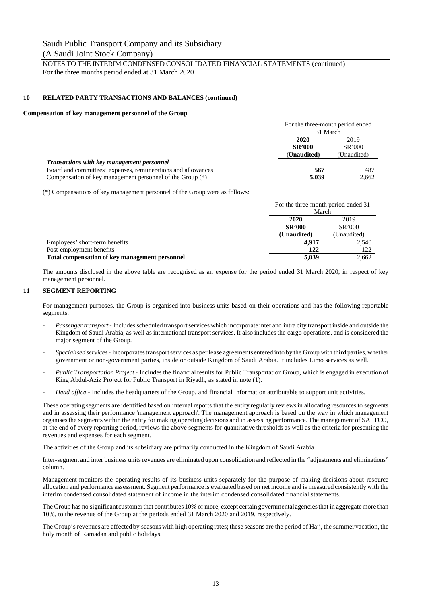NOTES TO THE INTERIM CONDENSED CONSOLIDATED FINANCIAL STATEMENTS (continued) For the three months period ended at 31 March 2020

#### **10 RELATED PARTY TRANSACTIONS AND BALANCES (continued)**

#### **Compensation of key management personnel of the Group**

|                                                              | For the three-month period ended                      |       |
|--------------------------------------------------------------|-------------------------------------------------------|-------|
|                                                              | 31 March                                              |       |
|                                                              | 2020<br>2019                                          |       |
|                                                              | <b>SR'000</b><br>SR'000<br>(Unaudited)<br>(Unaudited) |       |
|                                                              |                                                       |       |
| Transactions with key management personnel                   |                                                       |       |
| Board and committees' expenses, remunerations and allowances | 567                                                   | 487   |
| Compensation of key management personnel of the Group (*)    | 5,039                                                 | 2,662 |

(\*) Compensations of key management personnel of the Group were as follows:

|                                                | For the three-month period ended 31 |             |
|------------------------------------------------|-------------------------------------|-------------|
|                                                | March                               |             |
|                                                | 2020                                | 2019        |
|                                                | <b>SR'000</b>                       | SR'000      |
|                                                | (Unaudited)                         | (Unaudited) |
| Employees' short-term benefits                 | 4.917                               | 2.540       |
| Post-employment benefits                       | 122                                 | 122         |
| Total compensation of key management personnel | 5.039                               | 2,662       |

The amounts disclosed in the above table are recognised as an expense for the period ended 31 March 2020, in respect of key management personnel.

#### **11 SEGMENT REPORTING**

For management purposes, the Group is organised into business units based on their operations and has the following reportable segments:

- *Passenger transport* Includes scheduled transport services which incorporate inter and intra city transport inside and outside the Kingdom of Saudi Arabia, as well as international transport services. It also includes the cargo operations, and is considered the major segment of the Group.
- *Specialised services* Incorporates transport services as per lease agreements entered into by the Group with third parties, whether government or non-government parties, inside or outside Kingdom of Saudi Arabia. It includes Limo services as well.
- *Public Transportation Project* Includes the financial results for Public Transportation Group, which is engaged in execution of King Abdul-Aziz Project for Public Transport in Riyadh, as stated in note (1).
- Head office Includes the headquarters of the Group, and financial information attributable to support unit activities.

These operating segments are identified based on internal reports that the entity regularly reviews in allocating resources to segments and in assessing their performance 'management approach'. The management approach is based on the way in which management organises the segments within the entity for making operating decisions and in assessing performance. The management of SAPTCO, at the end of every reporting period, reviews the above segments for quantitative thresholds as well as the criteria for presenting the revenues and expenses for each segment.

The activities of the Group and its subsidiary are primarily conducted in the Kingdom of Saudi Arabia.

Inter-segment and inter business units revenues are eliminated upon consolidation and reflected in the "adjustments and eliminations" column.

Management monitors the operating results of its business units separately for the purpose of making decisions about resource allocation and performance assessment. Segment performance is evaluated based on net income and is measured consistently with the interim condensed consolidated statement of income in the interim condensed consolidated financial statements.

The Group has no significant customer that contributes 10% or more, except certain governmental agencies that in aggregate more than 10%, to the revenue of the Group at the periods ended 31 March 2020 and 2019, respectively.

The Group's revenues are affected by seasons with high operating rates; these seasons are the period of Hajj, the summer vacation, the holy month of Ramadan and public holidays.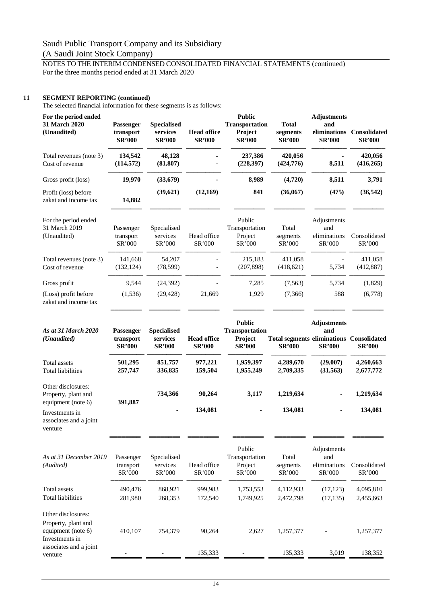### NOTES TO THE INTERIM CONDENSED CONSOLIDATED FINANCIAL STATEMENTS (continued) For the three months period ended at 31 March 2020

#### **11 SEGMENT REPORTING (continued)**

venture

The selected financial information for these segments is as follows:

| For the period ended<br>31 March 2020<br>(Unaudited) | <b>Passenger</b><br>transport<br><b>SR'000</b> | <b>Specialised</b><br>services<br><b>SR'000</b> | <b>Head office</b><br><b>SR'000</b> | <b>Public</b><br><b>Transportation</b><br><b>Project</b><br><b>SR'000</b> | <b>Total</b><br>segments<br><b>SR'000</b> | <b>Adjustments</b><br>and<br>eliminations<br><b>SR'000</b> | Consolidated<br><b>SR'000</b> |
|------------------------------------------------------|------------------------------------------------|-------------------------------------------------|-------------------------------------|---------------------------------------------------------------------------|-------------------------------------------|------------------------------------------------------------|-------------------------------|
| Total revenues (note 3)<br>Cost of revenue           | 134,542<br>(114, 572)                          | 48,128<br>(81, 807)                             |                                     | 237,386<br>(228, 397)                                                     | 420,056<br>(424, 776)                     | 8,511                                                      | 420,056<br>(416, 265)         |
| Gross profit (loss)                                  | 19,970                                         | (33,679)                                        |                                     | 8,989                                                                     | (4,720)                                   | 8,511                                                      | 3,791                         |
| Profit (loss) before<br>zakat and income tax         | 14,882                                         | (39, 621)                                       | (12, 169)                           | 841                                                                       | (36,067)                                  | (475)                                                      | (36, 542)                     |
| For the period ended<br>31 March 2019<br>(Unaudited) | Passenger<br>transport<br>SR'000               | Specialised<br>services<br>SR'000               | Head office<br>SR'000               | Public<br>Transportation<br>Project<br>SR'000                             | Total<br>segments<br>SR'000               | Adjustments<br>and<br>eliminations<br>SR'000               | Consolidated<br>SR'000        |
| Total revenues (note 3)<br>Cost of revenue           | 141,668<br>(132, 124)                          | 54,207<br>(78, 599)                             |                                     | 215,183<br>(207, 898)                                                     | 411,058<br>(418,621)                      | 5,734                                                      | 411,058<br>(412,887)          |
| Gross profit                                         | 9,544                                          | (24, 392)                                       |                                     | 7,285                                                                     | (7, 563)                                  | 5,734                                                      | (1,829)                       |
| (Loss) profit before<br>zakat and income tax         | (1, 536)                                       | (29, 428)                                       | 21,669                              | 1,929                                                                     | (7,366)                                   | 588                                                        | (6,778)                       |

| As at 31 March 2020<br>( <i>Unaudited</i> ) | <b>Passenger</b><br>transport<br><b>SR'000</b> | <b>Specialised</b><br>services<br><b>SR'000</b> | <b>Head office</b><br><b>SR'000</b> | <b>Public</b><br><b>Transportation</b><br><b>Project</b><br><b>SR'000</b> | <b>Total segments eliminations</b><br><b>SR'000</b> | <b>Adjustments</b><br>and<br><b>SR'000</b> | Consolidated<br><b>SR'000</b> |
|---------------------------------------------|------------------------------------------------|-------------------------------------------------|-------------------------------------|---------------------------------------------------------------------------|-----------------------------------------------------|--------------------------------------------|-------------------------------|
| Total assets                                | 501,295                                        | 851,757                                         | 977.221                             | 1,959,397                                                                 | 4,289,670                                           | (29.007)                                   | 4,260,663                     |
| <b>Total liabilities</b>                    | 257,747                                        | 336,835                                         | 159.504                             | 1,955,249                                                                 | 2,709,335                                           | (31,563)                                   | 2,677,772                     |
| Other disclosures:                          |                                                |                                                 |                                     |                                                                           |                                                     |                                            |                               |
| Property, plant and                         |                                                | 734.366                                         | 90.264                              | 3,117                                                                     | 1,219,634                                           | ۰                                          | 1,219,634                     |
| equipment (note 6)                          | 391,887                                        |                                                 |                                     |                                                                           |                                                     |                                            |                               |
| Investments in                              |                                                | $\sim$                                          | 134,081                             | $\sim$                                                                    | 134,081                                             | ٠                                          | 134,081                       |
| associates and a joint                      |                                                |                                                 |                                     |                                                                           |                                                     |                                            |                               |

════════ ════════ ════════ ════════ ════════ ════════ ════════

════════ ════════ ════════ ════════ ════════ ════════ ════════

| As at 31 December 2019<br>(Audited)                                               | Passenger<br>transport<br>SR'000 | Specialised<br>services<br>SR'000 | Head office<br>SR'000 | Public<br>Transportation<br>Project<br>SR'000 | Total<br>segments<br>SR'000 | Adjustments<br>and<br>eliminations<br>SR'000 | Consolidated<br>SR'000 |
|-----------------------------------------------------------------------------------|----------------------------------|-----------------------------------|-----------------------|-----------------------------------------------|-----------------------------|----------------------------------------------|------------------------|
| Total assets<br><b>Total liabilities</b>                                          | 490,476<br>281,980               | 868,921<br>268,353                | 999,983<br>172,540    | 1,753,553<br>1.749.925                        | 4,112,933<br>2,472,798      | (17, 123)<br>(17, 135)                       | 4,095,810<br>2,455,663 |
| Other disclosures:<br>Property, plant and<br>equipment (note 6)<br>Investments in | 410.107                          | 754,379                           | 90.264                | 2,627                                         | 1,257,377                   |                                              | 1,257,377              |
| associates and a joint<br>venture                                                 |                                  |                                   | 135.333               |                                               | 135.333                     | 3,019                                        | 138,352                |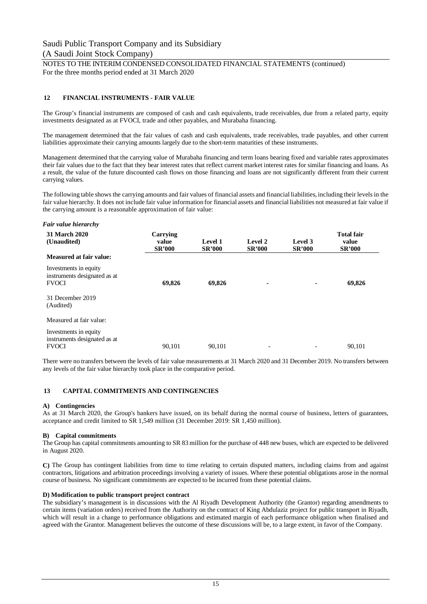NOTES TO THE INTERIM CONDENSED CONSOLIDATED FINANCIAL STATEMENTS (continued) For the three months period ended at 31 March 2020

#### **12 FINANCIAL INSTRUMENTS - FAIR VALUE**

The Group's financial instruments are composed of cash and cash equivalents, trade receivables, due from a related party, equity investments designated as at FVOCI, trade and other payables, and Murabaha financing.

The management determined that the fair values of cash and cash equivalents, trade receivables, trade payables, and other current liabilities approximate their carrying amounts largely due to the short-term maturities of these instruments.

Management determined that the carrying value of Murabaha financing and term loans bearing fixed and variable rates approximates their fair values due to the fact that they bear interest rates that reflect current market interest rates for similar financing and loans. As a result, the value of the future discounted cash flows on those financing and loans are not significantly different from their current carrying values.

The following table shows the carrying amounts and fair values of financial assets and financial liabilities, including their levels in the fair value hierarchy. It does not include fair value information for financial assets and financial liabilities not measured at fair value if the carrying amount is a reasonable approximation of fair value:

#### *Fair value hierarchy*

| 31 March 2020<br>(Unaudited)                                          | Carrying<br>value<br><b>SR'000</b> | Level 1<br><b>SR'000</b> | Level 2<br><b>SR'000</b> | Level 3<br><b>SR'000</b> | <b>Total fair</b><br>value<br><b>SR'000</b> |
|-----------------------------------------------------------------------|------------------------------------|--------------------------|--------------------------|--------------------------|---------------------------------------------|
| <b>Measured at fair value:</b>                                        |                                    |                          |                          |                          |                                             |
| Investments in equity<br>instruments designated as at<br><b>FVOCI</b> | 69,826                             | 69,826                   | ۰                        | $\blacksquare$           | 69,826                                      |
| 31 December 2019<br>(Audited)                                         |                                    |                          |                          |                          |                                             |
| Measured at fair value:                                               |                                    |                          |                          |                          |                                             |
| Investments in equity<br>instruments designated as at<br><b>FVOCI</b> | 90.101                             | 90.101                   | $\overline{\phantom{a}}$ |                          | 90.101                                      |

There were no transfers between the levels of fair value measurements at 31 March 2020 and 31 December 2019. No transfers between any levels of the fair value hierarchy took place in the comparative period.

#### **13 CAPITAL COMMITMENTS AND CONTINGENCIES**

#### **A) Contingencies**

As at 31 March 2020, the Group's bankers have issued, on its behalf during the normal course of business, letters of guarantees, acceptance and credit limited to SR 1,549 million (31 December 2019: SR 1,450 million).

#### **B) Capital commitments**

The Group has capital commitments amounting to SR 83 million for the purchase of 448 new buses, which are expected to be delivered in August 2020.

**C)** The Group has contingent liabilities from time to time relating to certain disputed matters, including claims from and against contractors, litigations and arbitration proceedings involving a variety of issues. Where these potential obligations arose in the normal course of business. No significant commitments are expected to be incurred from these potential claims.

#### **D) Modification to public transport project contract**

The subsidiary's management is in discussions with the Al Riyadh Development Authority (the Grantor) regarding amendments to certain items (variation orders) received from the Authority on the contract of King Abdulaziz project for public transport in Riyadh, which will result in a change to performance obligations and estimated margin of each performance obligation when finalised and agreed with the Grantor. Management believes the outcome of these discussions will be, to a large extent, in favor of the Company.